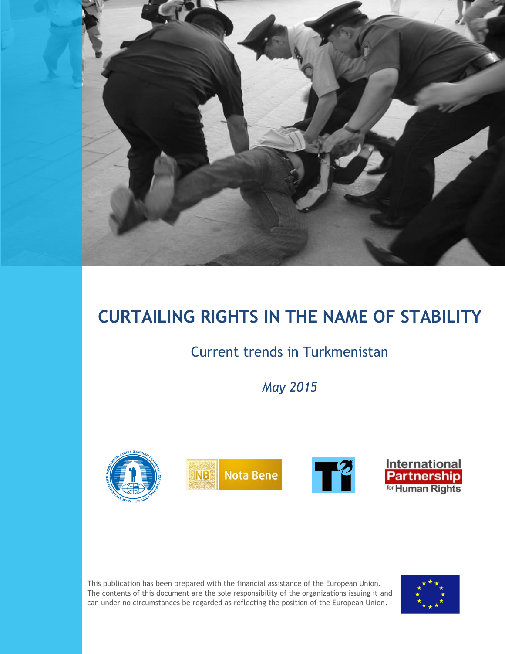

# **CURTAILING RIGHTS IN THE NAME OF STABILITY**

## Current trends in Turkmenistan

*May 2015*



\_\_\_\_\_\_\_\_\_\_\_\_\_\_\_\_\_\_\_\_\_\_\_\_\_\_\_\_\_\_\_\_\_\_\_\_\_\_\_\_\_\_\_\_\_\_\_\_\_\_\_\_\_\_\_\_\_\_\_\_\_\_\_\_\_\_\_\_\_\_\_\_\_\_\_\_\_\_\_\_\_\_\_\_\_\_\_\_\_\_\_\_\_\_\_\_\_\_\_\_\_\_\_

This publication has been prepared with the financial assistance of the European Union. The contents of this document are the sole responsibility of the organizations issuing it and can under no circumstances be regarded as reflecting the position of the European Union.

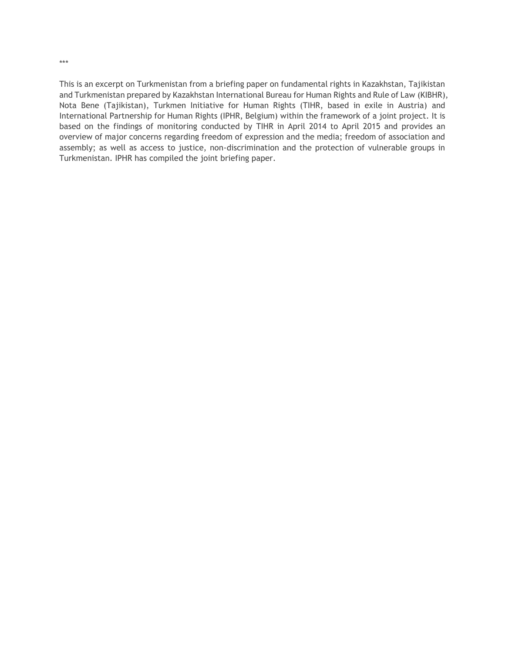This is an excerpt on Turkmenistan from a briefing paper on fundamental rights in Kazakhstan, Tajikistan and Turkmenistan prepared by Kazakhstan International Bureau for Human Rights and Rule of Law (KIBHR), Nota Bene (Tajikistan), Turkmen Initiative for Human Rights (TIHR, based in exile in Austria) and International Partnership for Human Rights (IPHR, Belgium) within the framework of a joint project. It is based on the findings of monitoring conducted by TIHR in April 2014 to April 2015 and provides an overview of major concerns regarding freedom of expression and the media; freedom of association and assembly; as well as access to justice, non-discrimination and the protection of vulnerable groups in Turkmenistan. IPHR has compiled the joint briefing paper.

\*\*\*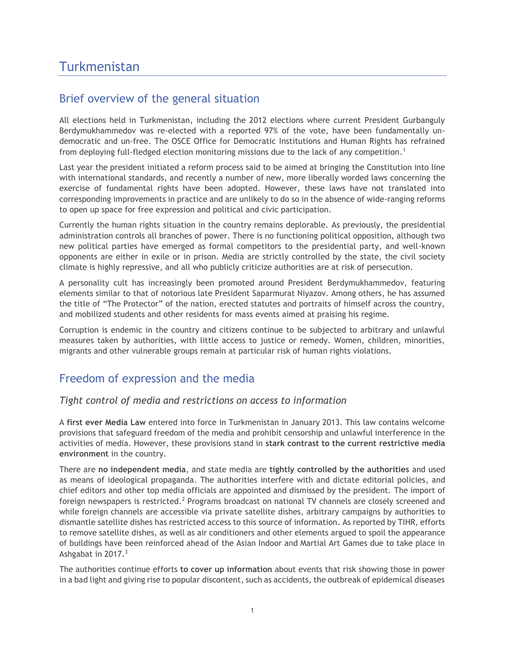## Turkmenistan

### Brief overview of the general situation

All elections held in Turkmenistan, including the 2012 elections where current President Gurbanguly Berdymukhammedov was re-elected with a reported 97% of the vote, have been fundamentally undemocratic and un-free. The OSCE Office for Democratic Institutions and Human Rights has refrained from deploying full-fledged election monitoring missions due to the lack of any competition. 1

Last year the president initiated a reform process said to be aimed at bringing the Constitution into line with international standards, and recently a number of new, more liberally worded laws concerning the exercise of fundamental rights have been adopted. However, these laws have not translated into corresponding improvements in practice and are unlikely to do so in the absence of wide-ranging reforms to open up space for free expression and political and civic participation.

Currently the human rights situation in the country remains deplorable. As previously, the presidential administration controls all branches of power. There is no functioning political opposition, although two new political parties have emerged as formal competitors to the presidential party, and well-known opponents are either in exile or in prison. Media are strictly controlled by the state, the civil society climate is highly repressive, and all who publicly criticize authorities are at risk of persecution.

A personality cult has increasingly been promoted around President Berdymukhammedov, featuring elements similar to that of notorious late President Saparmurat Niyazov. Among others, he has assumed the title of "The Protector" of the nation, erected statutes and portraits of himself across the country, and mobilized students and other residents for mass events aimed at praising his regime.

Corruption is endemic in the country and citizens continue to be subjected to arbitrary and unlawful measures taken by authorities, with little access to justice or remedy. Women, children, minorities, migrants and other vulnerable groups remain at particular risk of human rights violations.

## Freedom of expression and the media

#### *Tight control of media and restrictions on access to information*

A **first ever Media Law** entered into force in Turkmenistan in January 2013. This law contains welcome provisions that safeguard freedom of the media and prohibit censorship and unlawful interference in the activities of media. However, these provisions stand in **stark contrast to the current restrictive media environment** in the country.

There are **no independent media**, and state media are **tightly controlled by the authorities** and used as means of ideological propaganda. The authorities interfere with and dictate editorial policies, and chief editors and other top media officials are appointed and dismissed by the president. The import of foreign newspapers is restricted.<sup>2</sup> Programs broadcast on national TV channels are closely screened and while foreign channels are accessible via private satellite dishes, arbitrary campaigns by authorities to dismantle satellite dishes has restricted access to this source of information. As reported by TIHR, efforts to remove satellite dishes, as well as air conditioners and other elements argued to spoil the appearance of buildings have been reinforced ahead of the Asian Indoor and Martial Art Games due to take place in Ashgabat in 2017.<sup>3</sup>

The authorities continue efforts **to cover up information** about events that risk showing those in power in a bad light and giving rise to popular discontent, such as accidents, the outbreak of epidemical diseases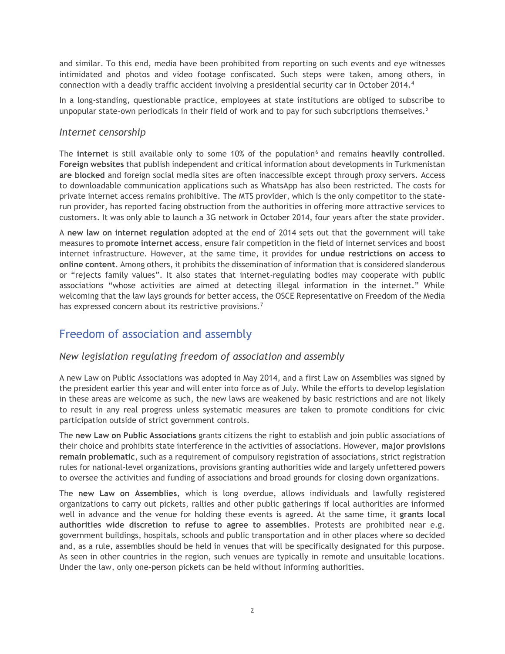and similar. To this end, media have been prohibited from reporting on such events and eye witnesses intimidated and photos and video footage confiscated. Such steps were taken, among others, in connection with a deadly traffic accident involving a presidential security car in October 2014.<sup>4</sup>

In a long-standing, questionable practice, employees at state institutions are obliged to subscribe to unpopular state-own periodicals in their field of work and to pay for such subcriptions themselves.<sup>5</sup>

#### *Internet censorship*

The **internet** is still available only to some 10% of the population<sup>6</sup> and remains heavily controlled. **Foreign websites** that publish independent and critical information about developments in Turkmenistan **are blocked** and foreign social media sites are often inaccessible except through proxy servers. Access to downloadable communication applications such as WhatsApp has also been restricted. The costs for private internet access remains prohibitive. The MTS provider, which is the only competitor to the staterun provider, has reported facing obstruction from the authorities in offering more attractive services to customers. It was only able to launch a 3G network in October 2014, four years after the state provider.

A **new law on internet regulation** adopted at the end of 2014 sets out that the government will take measures to **promote internet access**, ensure fair competition in the field of internet services and boost internet infrastructure. However, at the same time, it provides for **undue restrictions on access to online content**. Among others, it prohibits the dissemination of information that is considered slanderous or "rejects family values". It also states that internet-regulating bodies may cooperate with public associations "whose activities are aimed at detecting illegal information in the internet." While welcoming that the law lays grounds for better access, the OSCE Representative on Freedom of the Media has expressed concern about its restrictive provisions.<sup>7</sup>

## Freedom of association and assembly

#### *New legislation regulating freedom of association and assembly*

A new Law on Public Associations was adopted in May 2014, and a first Law on Assemblies was signed by the president earlier this year and will enter into force as of July. While the efforts to develop legislation in these areas are welcome as such, the new laws are weakened by basic restrictions and are not likely to result in any real progress unless systematic measures are taken to promote conditions for civic participation outside of strict government controls.

The **new Law on Public Associations** grants citizens the right to establish and join public associations of their choice and prohibits state interference in the activities of associations. However, **major provisions remain problematic**, such as a requirement of compulsory registration of associations, strict registration rules for national-level organizations, provisions granting authorities wide and largely unfettered powers to oversee the activities and funding of associations and broad grounds for closing down organizations.

The **new Law on Assemblies**, which is long overdue, allows individuals and lawfully registered organizations to carry out pickets, rallies and other public gatherings if local authorities are informed well in advance and the venue for holding these events is agreed. At the same time, it **grants local authorities wide discretion to refuse to agree to assemblies**. Protests are prohibited near e.g. government buildings, hospitals, schools and public transportation and in other places where so decided and, as a rule, assemblies should be held in venues that will be specifically designated for this purpose. As seen in other countries in the region, such venues are typically in remote and unsuitable locations. Under the law, only one-person pickets can be held without informing authorities.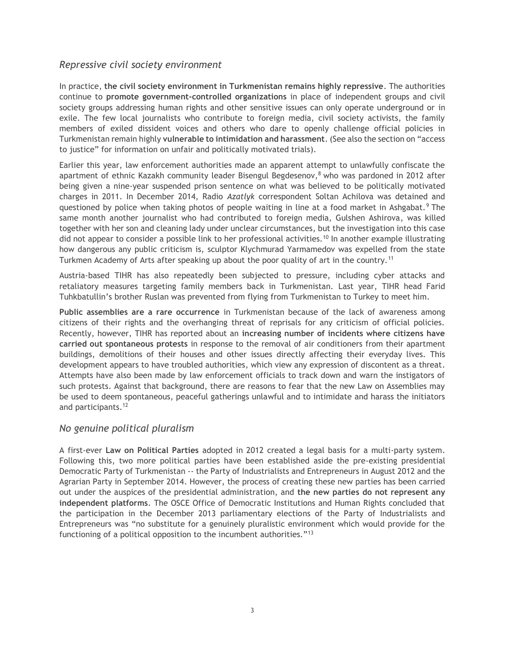#### *Repressive civil society environment*

In practice, **the civil society environment in Turkmenistan remains highly repressive**. The authorities continue to **promote government-controlled organizations** in place of independent groups and civil society groups addressing human rights and other sensitive issues can only operate underground or in exile. The few local journalists who contribute to foreign media, civil society activists, the family members of exiled dissident voices and others who dare to openly challenge official policies in Turkmenistan remain highly **vulnerable to intimidation and harassment**. (See also the section on "access to justice" for information on unfair and politically motivated trials).

Earlier this year, law enforcement authorities made an apparent attempt to unlawfully confiscate the apartment of ethnic Kazakh community leader Bisengul Begdesenov, $8$  who was pardoned in 2012 after being given a nine-year suspended prison sentence on what was believed to be politically motivated charges in 2011. In December 2014, Radio *Azatlyk* correspondent Soltan Achilova was detained and questioned by police when taking photos of people waiting in line at a food market in Ashgabat.<sup>9</sup> The same month another journalist who had contributed to foreign media, Gulshen Ashirova, was killed together with her son and cleaning lady under unclear circumstances, but the investigation into this case did not appear to consider a possible link to her professional activities.<sup>10</sup> In another example illustrating how dangerous any public criticism is, sculptor Klychmurad Yarmamedov was expelled from the state Turkmen Academy of Arts after speaking up about the poor quality of art in the country.<sup>11</sup>

Austria-based TIHR has also repeatedly been subjected to pressure, including cyber attacks and retaliatory measures targeting family members back in Turkmenistan. Last year, TIHR head Farid Tuhkbatullin's brother Ruslan was prevented from flying from Turkmenistan to Turkey to meet him.

**Public assemblies are a rare occurrence** in Turkmenistan because of the lack of awareness among citizens of their rights and the overhanging threat of reprisals for any criticism of official policies. Recently, however, TIHR has reported about an **increasing number of incidents where citizens have carried out spontaneous protests** in response to the removal of air conditioners from their apartment buildings, demolitions of their houses and other issues directly affecting their everyday lives. This development appears to have troubled authorities, which view any expression of discontent as a threat. Attempts have also been made by law enforcement officials to track down and warn the instigators of such protests. Against that background, there are reasons to fear that the new Law on Assemblies may be used to deem spontaneous, peaceful gatherings unlawful and to intimidate and harass the initiators and participants.<sup>12</sup>

#### *No genuine political pluralism*

A first-ever **Law on Political Parties** adopted in 2012 created a legal basis for a multi-party system. Following this, two more political parties have been established aside the pre-existing presidential Democratic Party of Turkmenistan -- the Party of Industrialists and Entrepreneurs in August 2012 and the Agrarian Party in September 2014. However, the process of creating these new parties has been carried out under the auspices of the presidential administration, and **the new parties do not represent any independent platforms**. The OSCE Office of Democratic Institutions and Human Rights concluded that the participation in the December 2013 parliamentary elections of the Party of Industrialists and Entrepreneurs was "no substitute for a genuinely pluralistic environment which would provide for the functioning of a political opposition to the incumbent authorities."13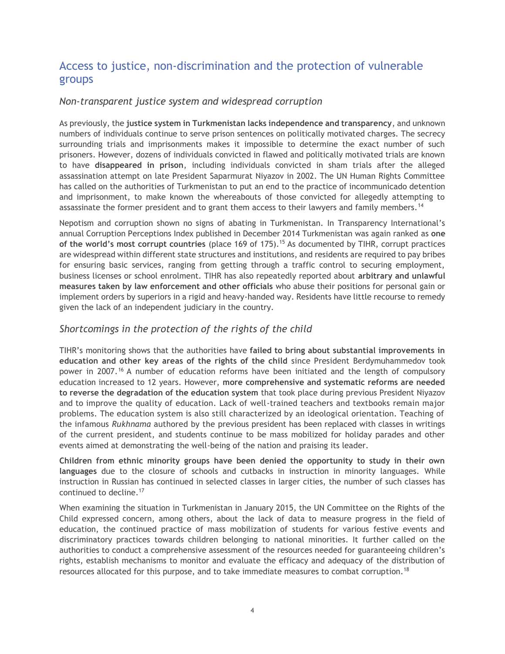## Access to justice, non-discrimination and the protection of vulnerable groups

#### *Non-transparent justice system and widespread corruption*

As previously, the **justice system in Turkmenistan lacks independence and transparency**, and unknown numbers of individuals continue to serve prison sentences on politically motivated charges. The secrecy surrounding trials and imprisonments makes it impossible to determine the exact number of such prisoners. However, dozens of individuals convicted in flawed and politically motivated trials are known to have **disappeared in prison**, including individuals convicted in sham trials after the alleged assassination attempt on late President Saparmurat Niyazov in 2002. The UN Human Rights Committee has called on the authorities of Turkmenistan to put an end to the practice of incommunicado detention and imprisonment, to make known the whereabouts of those convicted for allegedly attempting to assassinate the former president and to grant them access to their lawyers and family members.<sup>14</sup>

Nepotism and corruption shown no signs of abating in Turkmenistan. In Transparency International's annual Corruption Perceptions Index published in December 2014 Turkmenistan was again ranked as **one of the world's most corrupt countries** (place 169 of 175).<sup>15</sup> As documented by TIHR, corrupt practices are widespread within different state structures and institutions, and residents are required to pay bribes for ensuring basic services, ranging from getting through a traffic control to securing employment, business licenses or school enrolment. TIHR has also repeatedly reported about **arbitrary and unlawful measures taken by law enforcement and other officials** who abuse their positions for personal gain or implement orders by superiors in a rigid and heavy-handed way. Residents have little recourse to remedy given the lack of an independent judiciary in the country.

#### *Shortcomings in the protection of the rights of the child*

TIHR's monitoring shows that the authorities have **failed to bring about substantial improvements in education and other key areas of the rights of the child** since President Berdymuhammedov took power in 2007.<sup>16</sup> A number of education reforms have been initiated and the length of compulsory education increased to 12 years. However, **more comprehensive and systematic reforms are needed to reverse the degradation of the education system** that took place during previous President Niyazov and to improve the quality of education. Lack of well-trained teachers and textbooks remain major problems. The education system is also still characterized by an ideological orientation. Teaching of the infamous *Rukhnama* authored by the previous president has been replaced with classes in writings of the current president, and students continue to be mass mobilized for holiday parades and other events aimed at demonstrating the well-being of the nation and praising its leader.

**Children from ethnic minority groups have been denied the opportunity to study in their own languages** due to the closure of schools and cutbacks in instruction in minority languages. While instruction in Russian has continued in selected classes in larger cities, the number of such classes has continued to decline.<sup>17</sup>

When examining the situation in Turkmenistan in January 2015, the UN Committee on the Rights of the Child expressed concern, among others, about the lack of data to measure progress in the field of education, the continued practice of mass mobilization of students for various festive events and discriminatory practices towards children belonging to national minorities. It further called on the authorities to conduct a comprehensive assessment of the resources needed for guaranteeing children's rights, establish mechanisms to monitor and evaluate the efficacy and adequacy of the distribution of resources allocated for this purpose, and to take immediate measures to combat corruption.18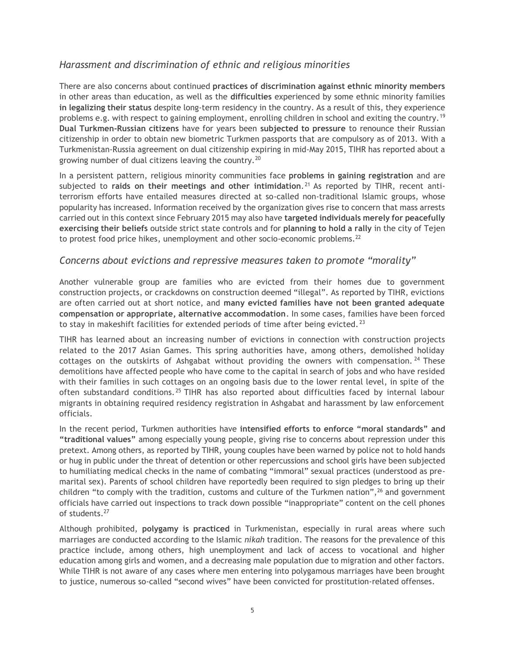#### *Harassment and discrimination of ethnic and religious minorities*

There are also concerns about continued **practices of discrimination against ethnic minority members**  in other areas than education, as well as the **difficulties** experienced by some ethnic minority families **in legalizing their status** despite long-term residency in the country. As a result of this, they experience problems e.g. with respect to gaining employment, enrolling children in school and exiting the country.<sup>19</sup> **Dual Turkmen-Russian citizens** have for years been **subjected to pressure** to renounce their Russian citizenship in order to obtain new biometric Turkmen passports that are compulsory as of 2013. With a Turkmenistan-Russia agreement on dual citizenship expiring in mid-May 2015, TIHR has reported about a growing number of dual citizens leaving the country.<sup>20</sup>

In a persistent pattern, religious minority communities face **problems in gaining registration** and are subjected to **raids on their meetings and other intimidation**. <sup>21</sup> As reported by TIHR, recent antiterrorism efforts have entailed measures directed at so-called non-traditional Islamic groups, whose popularity has increased. Information received by the organization gives rise to concern that mass arrests carried out in this context since February 2015 may also have **targeted individuals merely for peacefully exercising their beliefs** outside strict state controls and for **planning to hold a rally** in the city of Tejen to protest food price hikes, unemployment and other socio-economic problems.<sup>22</sup>

#### *Concerns about evictions and repressive measures taken to promote "morality"*

Another vulnerable group are families who are evicted from their homes due to government construction projects, or crackdowns on construction deemed "illegal". As reported by TIHR, evictions are often carried out at short notice, and **many evicted families have not been granted adequate compensation or appropriate, alternative accommodation**. In some cases, families have been forced to stay in makeshift facilities for extended periods of time after being evicted.<sup>23</sup>

TIHR has learned about an increasing number of evictions in connection with construction projects related to the 2017 Asian Games. This spring authorities have, among others, demolished holiday cottages on the outskirts of Ashgabat without providing the owners with compensation.  $24$  These demolitions have affected people who have come to the capital in search of jobs and who have resided with their families in such cottages on an ongoing basis due to the lower rental level, in spite of the often substandard conditions. <sup>25</sup> TIHR has also reported about difficulties faced by internal labour migrants in obtaining required residency registration in Ashgabat and harassment by law enforcement officials.

In the recent period, Turkmen authorities have **intensified efforts to enforce "moral standards" and "traditional values"** among especially young people, giving rise to concerns about repression under this pretext. Among others, as reported by TIHR, young couples have been warned by police not to hold hands or hug in public under the threat of detention or other repercussions and school girls have been subjected to humiliating medical checks in the name of combating "immoral" sexual practices (understood as premarital sex). Parents of school children have reportedly been required to sign pledges to bring up their children "to comply with the tradition, customs and culture of the Turkmen nation",<sup>26</sup> and government officials have carried out inspections to track down possible "inappropriate" content on the cell phones of students.<sup>27</sup>

Although prohibited, **polygamy is practiced** in Turkmenistan, especially in rural areas where such marriages are conducted according to the Islamic *nikah* tradition. The reasons for the prevalence of this practice include, among others, high unemployment and lack of access to vocational and higher education among girls and women, and a decreasing male population due to migration and other factors. While TIHR is not aware of any cases where men entering into polygamous marriages have been brought to justice, numerous so-called "second wives" have been convicted for prostitution-related offenses.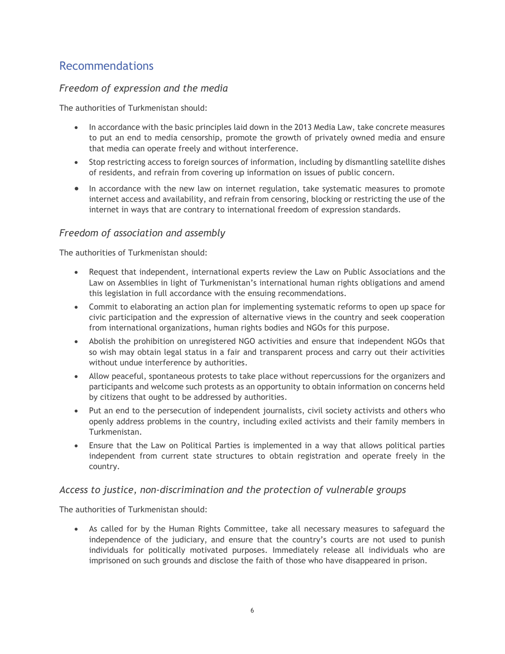## Recommendations

### *Freedom of expression and the media*

The authorities of Turkmenistan should:

- In accordance with the basic principles laid down in the 2013 Media Law, take concrete measures to put an end to media censorship, promote the growth of privately owned media and ensure that media can operate freely and without interference.
- Stop restricting access to foreign sources of information, including by dismantling satellite dishes of residents, and refrain from covering up information on issues of public concern.
- In accordance with the new law on internet regulation, take systematic measures to promote internet access and availability, and refrain from censoring, blocking or restricting the use of the internet in ways that are contrary to international freedom of expression standards.

#### *Freedom of association and assembly*

The authorities of Turkmenistan should:

- Request that independent, international experts review the Law on Public Associations and the Law on Assemblies in light of Turkmenistan's international human rights obligations and amend this legislation in full accordance with the ensuing recommendations.
- Commit to elaborating an action plan for implementing systematic reforms to open up space for civic participation and the expression of alternative views in the country and seek cooperation from international organizations, human rights bodies and NGOs for this purpose.
- Abolish the prohibition on unregistered NGO activities and ensure that independent NGOs that so wish may obtain legal status in a fair and transparent process and carry out their activities without undue interference by authorities.
- Allow peaceful, spontaneous protests to take place without repercussions for the organizers and participants and welcome such protests as an opportunity to obtain information on concerns held by citizens that ought to be addressed by authorities.
- Put an end to the persecution of independent journalists, civil society activists and others who openly address problems in the country, including exiled activists and their family members in Turkmenistan.
- Ensure that the Law on Political Parties is implemented in a way that allows political parties independent from current state structures to obtain registration and operate freely in the country.

#### *Access to justice, non-discrimination and the protection of vulnerable groups*

The authorities of Turkmenistan should:

 As called for by the Human Rights Committee, take all necessary measures to safeguard the independence of the judiciary, and ensure that the country's courts are not used to punish individuals for politically motivated purposes. Immediately release all individuals who are imprisoned on such grounds and disclose the faith of those who have disappeared in prison.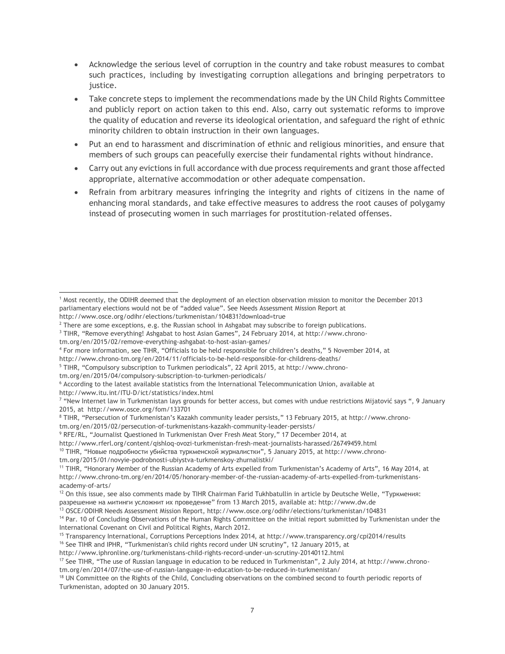- Acknowledge the serious level of corruption in the country and take robust measures to combat such practices, including by investigating corruption allegations and bringing perpetrators to justice.
- Take concrete steps to implement the recommendations made by the UN Child Rights Committee and publicly report on action taken to this end. Also, carry out systematic reforms to improve the quality of education and reverse its ideological orientation, and safeguard the right of ethnic minority children to obtain instruction in their own languages.
- Put an end to harassment and discrimination of ethnic and religious minorities, and ensure that members of such groups can peacefully exercise their fundamental rights without hindrance.
- Carry out any evictions in full accordance with due process requirements and grant those affected appropriate, alternative accommodation or other adequate compensation.
- Refrain from arbitrary measures infringing the integrity and rights of citizens in the name of enhancing moral standards, and take effective measures to address the root causes of polygamy instead of prosecuting women in such marriages for prostitution-related offenses.

<sup>3</sup> TIHR, "Remove everything! Ashgabat to host Asian Games", 24 February 2014, at http://www.chrono-

- <sup>5</sup> TIHR, "Compulsory subscription to Turkmen periodicals", 22 April 2015, at http://www.chrono-
- tm.org/en/2015/04/compulsory-subscription-to-turkmen-periodicals/

http://www.itu.int/ITU-D/ict/statistics/index.html

<sup>8</sup> TIHR, "Persecution of Turkmenistan's Kazakh community leader persists," 13 February 2015, at http://www.chrono-

tm.org/en/2015/02/persecution-of-turkmenistans-kazakh-community-leader-persists/

 $10$  TIHR, "Новые подробности убийства туркменской журналистки", 5 January 2015, at http://www.chrono-

<sup>1</sup> Most recently, the ODIHR deemed that the deployment of an election observation mission to monitor the December 2013 parliamentary elections would not be of "added value". See Needs Assessment Mission Report at l

http://www.osce.org/odihr/elections/turkmenistan/104831?download=true

<sup>&</sup>lt;sup>2</sup> There are some exceptions, e.g. the Russian school in Ashgabat may subscribe to foreign publications.

tm.org/en/2015/02/remove-everything-ashgabat-to-host-asian-games/

<sup>4</sup> For more information, see TIHR, "Officials to be held responsible for children's deaths," 5 November 2014, at

http://www.chrono-tm.org/en/2014/11/officials-to-be-held-responsible-for-childrens-deaths/

<sup>6</sup> According to the latest available statistics from the International Telecommunication Union, available at

<sup>7</sup> "New Internet law in Turkmenistan lays grounds for better access, but comes with undue restrictions Mijatović says ", 9 January 2015, at http://www.osce.org/fom/133701

<sup>9</sup> RFE/RL, "Journalist Questioned In Turkmenistan Over Fresh Meat Story," 17 December 2014, at

http://www.rferl.org/content/qishloq-ovozi-turkmenistan-fresh-meat-journalists-harassed/26749459.html

tm.org/2015/01/novyie-podrobnosti-ubiystva-turkmenskoy-zhurnalistki/

<sup>11</sup> TIHR, "Honorary Member of the Russian Academy of Arts expelled from Turkmenistan's Academy of Arts", 16 May 2014, at http://www.chrono-tm.org/en/2014/05/honorary-member-of-the-russian-academy-of-arts-expelled-from-turkmenistansacademy-of-arts/

 $12$  On this issue, see also comments made by TIHR Chairman Farid Tukhbatullin in article by Deutsche Welle, "Туркмения: разрешение на митинги усложнит их проведение" from 13 March 2015, available at: http://www.dw.de

<sup>13</sup> OSCE/ODIHR Needs Assessment Mission Report, http://www.osce.org/odihr/elections/turkmenistan/104831

<sup>&</sup>lt;sup>14</sup> Par. 10 of Concluding Observations of the Human Rights Committee on the initial report submitted by Turkmenistan under the International Covenant on Civil and Political Rights, March 2012.

<sup>15</sup> Transparency International, Corruptions Perceptions Index 2014, at http://www.transparency.org/cpi2014/results

<sup>&</sup>lt;sup>16</sup> See TIHR and IPHR, "Turkmenistan's child rights record under UN scrutiny", 12 January 2015, at

http://www.iphronline.org/turkmenistans-child-rights-record-under-un-scrutiny-20140112.html

<sup>&</sup>lt;sup>17</sup> See TIHR, "The use of Russian language in education to be reduced in Turkmenistan", 2 July 2014, at http://www.chronotm.org/en/2014/07/the-use-of-russian-language-in-education-to-be-reduced-in-turkmenistan/

<sup>&</sup>lt;sup>18</sup> UN Committee on the Rights of the Child, Concluding observations on the combined second to fourth periodic reports of Turkmenistan, adopted on 30 January 2015.